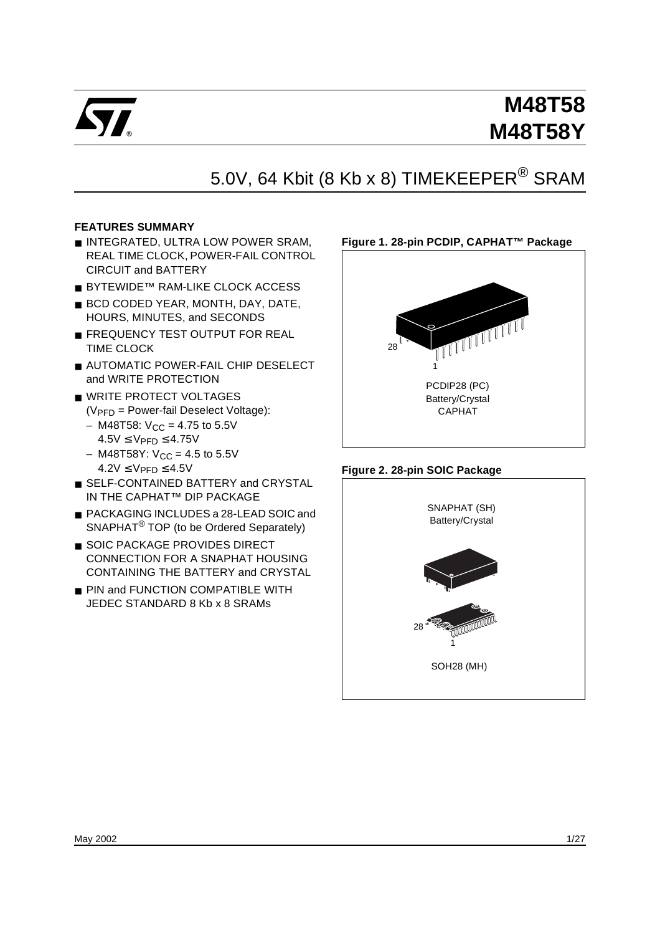

# 5.0V, 64 Kbit (8 Kb x 8) TIMEKEEPER<sup>®</sup> SRAM

# **FEATURES SUMMARY**

- INTEGRATED, ULTRA LOW POWER SRAM, REAL TIME CLOCK, POWER-FAIL CONTROL CIRCUIT and BATTERY
- BYTEWIDE™ RAM-LIKE CLOCK ACCESS
- BCD CODED YEAR, MONTH, DAY, DATE, HOURS, MINUTES, and SECONDS
- FREQUENCY TEST OUTPUT FOR REAL TIME CLOCK
- AUTOMATIC POWER-FAIL CHIP DESELECT and WRITE PROTECTION
- WRITE PROTECT VOLTAGES  $(V_{\text{PFD}} = \text{Power-fail Deselect Voltaae})$ :
	- $-$  M48T58:  $V_{CC} = 4.75$  to 5.5V  $4.5V \leq V_{\text{PFD}} \leq 4.75V$
	- $-$  M48T58Y:  $V_{CC} = 4.5$  to 5.5V  $4.2V \leq V$ PFD $\leq 4.5V$
- SELF-CONTAINED BATTERY and CRYSTAL IN THE CAPHAT™ DIP PACKAGE
- PACKAGING INCLUDES a 28-LEAD SOIC and SNAPHAT<sup>®</sup> TOP (to be Ordered Separately)
- SOIC PACKAGE PROVIDES DIRECT CONNECTION FOR A SNAPHAT HOUSING CONTAINING THE BATTERY and CRYSTAL
- PIN and FUNCTION COMPATIBLE WITH JEDEC STANDARD 8 Kb x 8 SRAMs

# **Figure 1. 28-pin PCDIP, CAPHAT™ Package**



## **Figure 2. 28-pin SOIC Package**

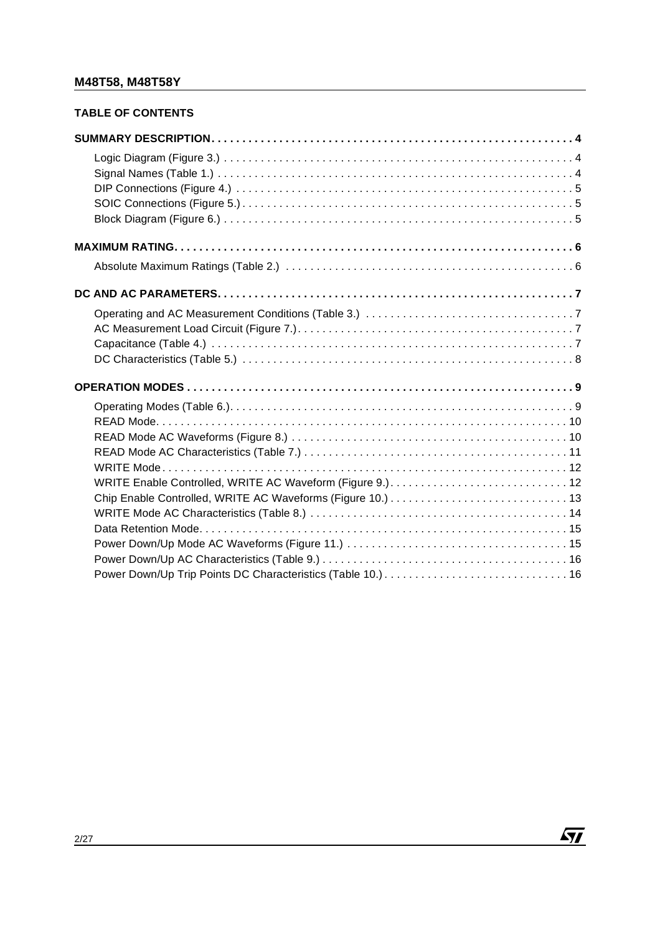# **TABLE OF CONTENTS**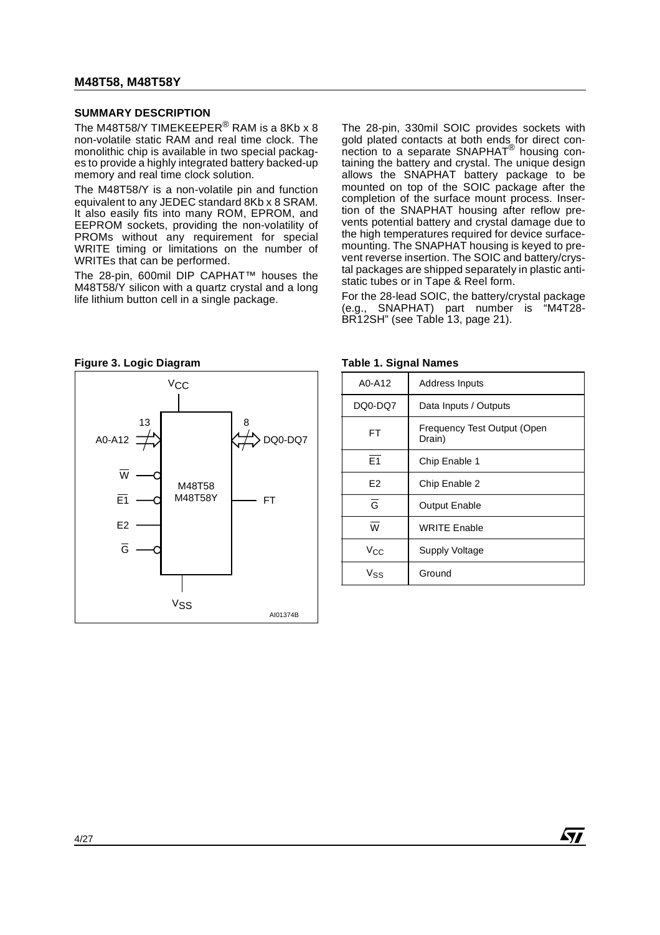#### **SUMMARY DESCRIPTION**

The M48T58/Y TIMEKEEPER<sup>®</sup> RAM is a 8Kb x 8 non-volatile static RAM and real time clock. The monolithic chip is available in two special packages to provide a highly integrated battery backed-up memory and real time clock solution.

The M48T58/Y is a non-volatile pin and function equivalent to any JEDEC standard 8Kb x 8 SRAM. It also easily fits into many ROM, EPROM, and EEPROM sockets, providing the non-volatility of PROMs without any requirement for special WRITE timing or limitations on the number of WRITEs that can be performed.

The 28-pin, 600mil DIP CAPHAT™ houses the M48T58/Y silicon with a quartz crystal and a long life lithium button cell in a single package.

The 28-pin, 330mil SOIC provides sockets with gold plated contacts at both ends for direct connection to a separate SNAPHAT® housing containing the battery and crystal. The unique design allows the SNAPHAT battery package to be mounted on top of the SOIC package after the completion of the surface mount process. Insertion of the SNAPHAT housing after reflow prevents potential battery and crystal damage due to the high temperatures required for device surfacemounting. The SNAPHAT housing is keyed to prevent reverse insertion. The SOIC and battery/crystal packages are shipped separately in plastic antistatic tubes or in Tape & Reel form.

For the 28-lead SOIC, the battery/crystal package (e.g., SNAPHAT) part number is "M4T28- BR12SH" (see Table 13, page 21).



| A0-A12                  | <b>Address Inputs</b>                 |
|-------------------------|---------------------------------------|
| DQ0-DQ7                 | Data Inputs / Outputs                 |
| FT                      | Frequency Test Output (Open<br>Drain) |
| $\overline{E1}$         | Chip Enable 1                         |
| E <sub>2</sub>          | Chip Enable 2                         |
| $\overline{G}$          | <b>Output Enable</b>                  |
| $\overline{\mathsf{w}}$ | <b>WRITE Enable</b>                   |
| Vcc                     | <b>Supply Voltage</b>                 |
| Vss                     | Ground                                |

**STT**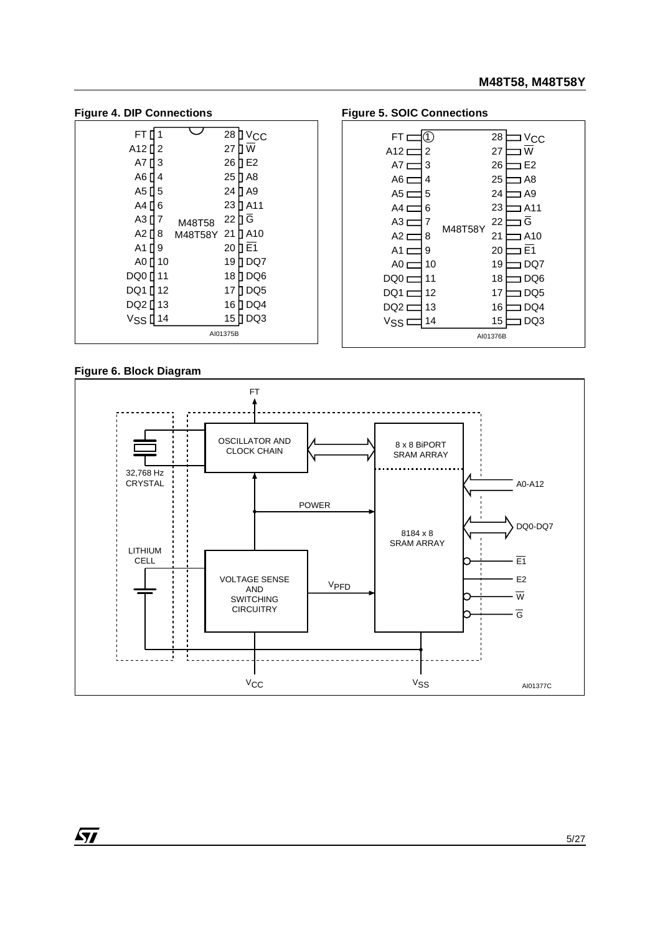| ıyuı v                  |                         |  |
|-------------------------|-------------------------|--|
| FT.<br>1                | 28<br>$V_{\rm CC}$      |  |
| A12 []<br>2             | W<br>27                 |  |
| A7 <b>N</b><br>3        | 26<br>1 E2              |  |
| А6 П<br>4               | 25<br>1 A8              |  |
| A5 []<br>5              | 24<br>1 A9              |  |
| A4 N<br>6               | 1 A 1 1<br>23           |  |
| A3 [<br>7               | ΠĞ<br>22<br>M48T58      |  |
| A2 []<br>8              | 1 A 10<br>21<br>M48T58Y |  |
| $A1$ <sup>[]</sup><br>9 | 1 E 1<br>20             |  |
| A0 []<br>10             | 19<br>DQ7               |  |
| DQ0 []<br>11            | 18<br>DQ <sub>6</sub>   |  |
| DQ1 []<br>12            | DQ <sub>5</sub><br>17   |  |
| DQ2 []<br>13            | 16<br>DQ4               |  |
| Vss L<br>14             | DQ3<br>15               |  |
|                         | AI01375B                |  |

#### Figure 4. DIP Connections **Figure 5. SOIC Connections**



## **Figure 6. Block Diagram**

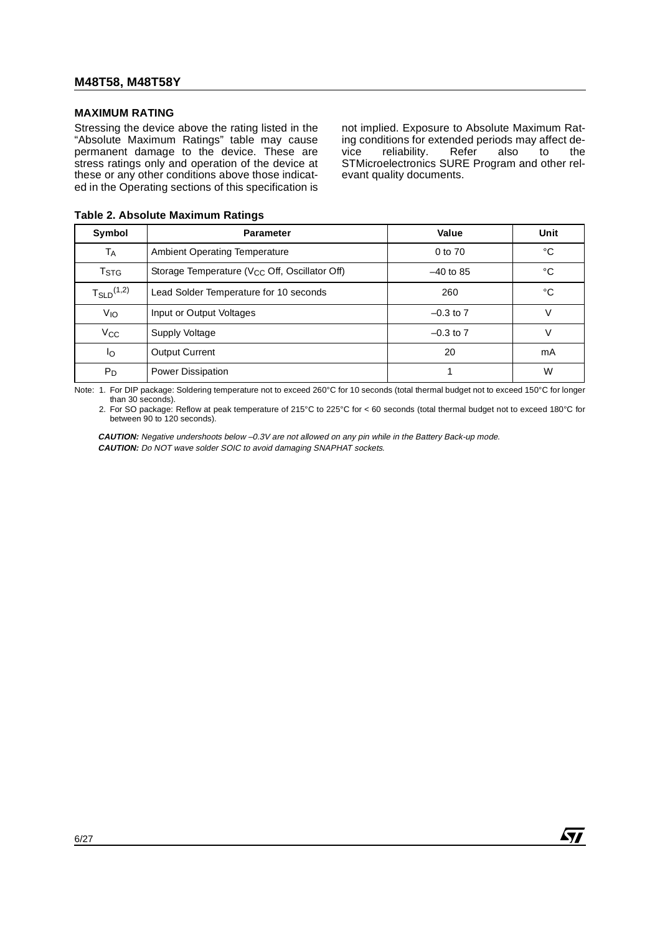#### **MAXIMUM RATING**

Stressing the device above the rating listed in the "Absolute Maximum Ratings" table may cause permanent damage to the device. These are stress ratings only and operation of the device at these or any other conditions above those indicated in the Operating sections of this specification is not implied. Exposure to Absolute Maximum Rating conditions for extended periods may affect device reliability. Refer also to the STMicroelectronics SURE Program and other relevant quality documents.

| Symbol                   | <b>Parameter</b>                                          | Value         | Unit |
|--------------------------|-----------------------------------------------------------|---------------|------|
| TA                       | <b>Ambient Operating Temperature</b>                      | 0 to 70       | °C   |
| T <sub>STG</sub>         | Storage Temperature (V <sub>CC</sub> Off, Oscillator Off) | $-40$ to 85   | °C   |
| $T_{\text{SLD}}^{(1,2)}$ | Lead Solder Temperature for 10 seconds                    | 260           | °C   |
| VIO                      | Input or Output Voltages                                  | $-0.3$ to $7$ | v    |
| $V_{\rm CC}$             | Supply Voltage                                            | $-0.3$ to $7$ | V    |
| Ιo                       | <b>Output Current</b>                                     | 20            | mA   |
| $P_D$                    | <b>Power Dissipation</b>                                  |               | W    |

**Table 2. Absolute Maximum Ratings**

Note: 1. For DIP package: Soldering temperature not to exceed 260°C for 10 seconds (total thermal budget not to exceed 150°C for longer than 30 seconds).

2. For SO package: Reflow at peak temperature of 215°C to 225°C for < 60 seconds (total thermal budget not to exceed 180°C for between 90 to 120 seconds).

**CAUTION:** Negative undershoots below –0.3V are not allowed on any pin while in the Battery Back-up mode. **CAUTION:** Do NOT wave solder SOIC to avoid damaging SNAPHAT sockets.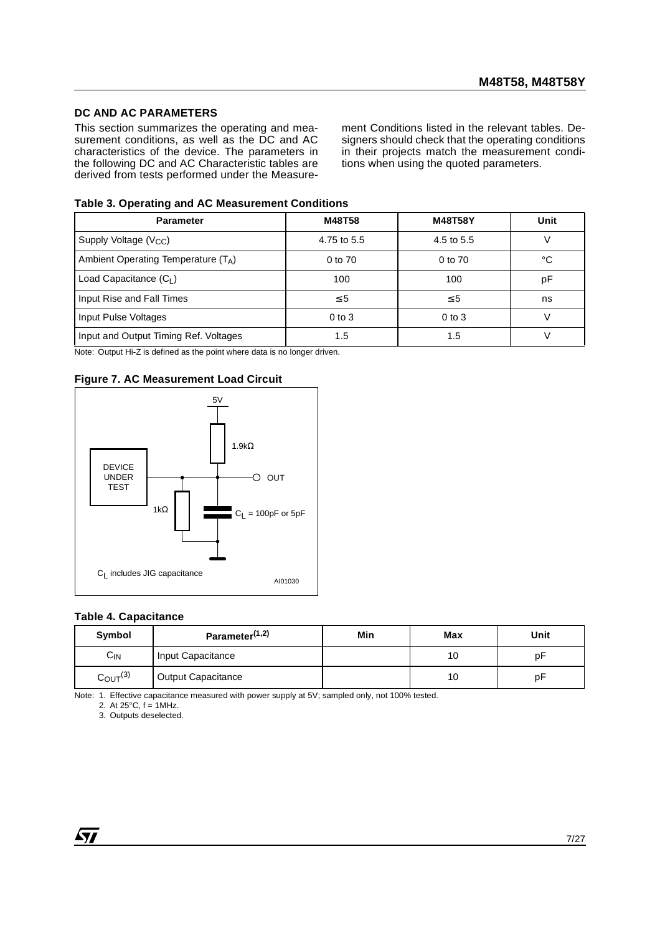#### **DC AND AC PARAMETERS**

This section summarizes the operating and measurement conditions, as well as the DC and AC characteristics of the device. The parameters in the following DC and AC Characteristic tables are derived from tests performed under the Measure-

ment Conditions listed in the relevant tables. Designers should check that the operating conditions in their projects match the measurement conditions when using the quoted parameters.

#### **Table 3. Operating and AC Measurement Conditions**

| <b>Parameter</b>                      | M48T58      | <b>M48T58Y</b> | Unit |
|---------------------------------------|-------------|----------------|------|
| Supply Voltage (V <sub>CC</sub> )     | 4.75 to 5.5 | 4.5 to 5.5     |      |
| Ambient Operating Temperature $(T_A)$ | 0 to 70     | 0 to 70        | °C   |
| Load Capacitance $(C_1)$              | 100         | 100            | рF   |
| Input Rise and Fall Times             | $\leq 5$    | $\leq 5$       | ns   |
| Input Pulse Voltages                  | $0$ to $3$  | $0$ to $3$     |      |
| Input and Output Timing Ref. Voltages | 1.5         | 1.5            |      |

Note: Output Hi-Z is defined as the point where data is no longer driven.

#### **Figure 7. AC Measurement Load Circuit**



#### **Table 4. Capacitance**

| Symbol                 | Parameter <sup>(1,2)</sup> | Min | Max | Unit |
|------------------------|----------------------------|-----|-----|------|
| $C_{\text{IN}}$        | Input Capacitance          |     | 10  | p⊦   |
| $C_{\text{OUT}}^{(3)}$ | <b>Output Capacitance</b>  |     | 10  | рF   |

Note: 1. Effective capacitance measured with power supply at 5V; sampled only, not 100% tested.

2. At  $25^{\circ}$ C,  $f = 1$ MHz.

3. Outputs deselected.

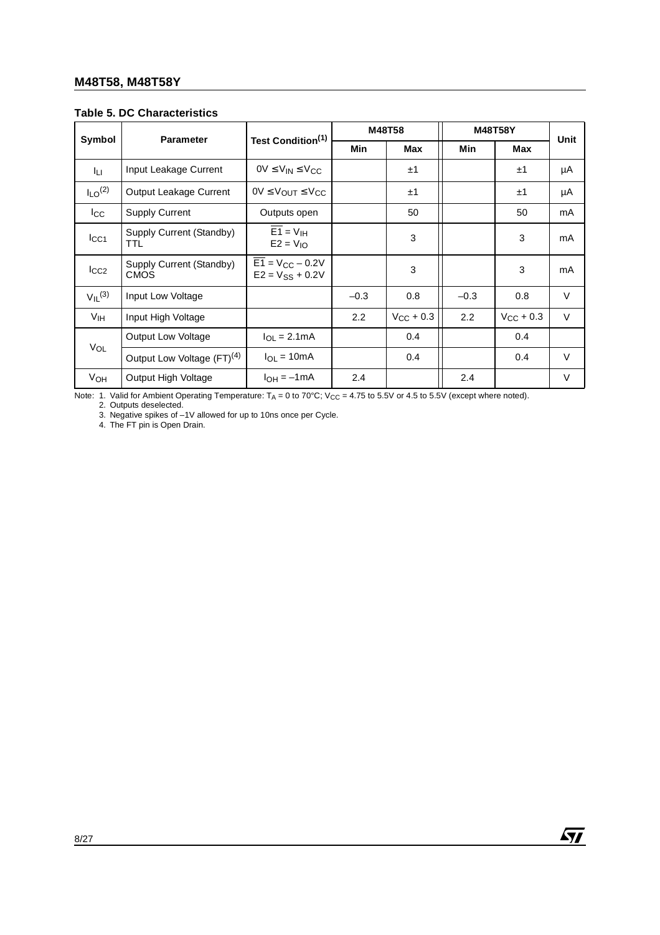| <b>Table 5. DC Characteristics</b> |  |
|------------------------------------|--|
|------------------------------------|--|

|                         |                                         |                                              |        | M48T58                |        | <b>M48T58Y</b>     |        |  |
|-------------------------|-----------------------------------------|----------------------------------------------|--------|-----------------------|--------|--------------------|--------|--|
| Symbol                  | <b>Parameter</b>                        | Test Condition <sup>(1)</sup>                | Min    | <b>Max</b>            |        | Min<br>Max         |        |  |
| Īц                      | Input Leakage Current                   | $OV \leq V_{IN} \leq V_{CC}$                 |        | ±1                    |        | ±1                 | μA     |  |
| $I_{LO}$ <sup>(2)</sup> | Output Leakage Current                  | $0V \leq V_{OUT} \leq V_{CC}$                |        | ±1                    |        | ±1                 | μA     |  |
| $_{\rm lcc}$            | <b>Supply Current</b>                   | Outputs open                                 |        | 50                    |        | 50                 | mA     |  |
| $_{\text{lcc1}}$        | Supply Current (Standby)<br><b>TTL</b>  | $E1 = VIH$<br>$E2 = V_{10}$                  |        | 3                     |        | 3                  | mA     |  |
| $_{\text{ICC2}}$        | Supply Current (Standby)<br><b>CMOS</b> | $E1 = V_{CC} - 0.2V$<br>$E2 = V_{SS} + 0.2V$ |        | 3                     |        | 3                  | mA     |  |
| $V_{II}$ <sup>(3)</sup> | Input Low Voltage                       |                                              | $-0.3$ | 0.8                   | $-0.3$ | 0.8                | $\vee$ |  |
| V <sub>IH</sub>         | Input High Voltage                      |                                              | 2.2    | $V_{\text{CC}}$ + 0.3 | 2.2    | $V_{\rm CC}$ + 0.3 | $\vee$ |  |
|                         | <b>Output Low Voltage</b>               | $I_{\Omega I} = 2.1 \text{mA}$               |        | 0.4                   |        | 0.4                |        |  |
| VOL                     | Output Low Voltage (FT) <sup>(4)</sup>  | $I_{\Omega}$ = 10mA                          |        | 0.4                   |        | 0.4                | $\vee$ |  |
| <b>V<sub>OH</sub></b>   | Output High Voltage                     | $I_{OH} = -1mA$                              | 2.4    |                       | 2.4    |                    | $\vee$ |  |

Note: 1. Valid for Ambient Operating Temperature:  $T_A = 0$  to 70°C; V<sub>CC</sub> = 4.75 to 5.5V or 4.5 to 5.5V (except where noted).<br>2. Outputs deselected.

 $\sqrt{27}$ 

3. Negative spikes of –1V allowed for up to 10ns once per Cycle.

4. The FT pin is Open Drain.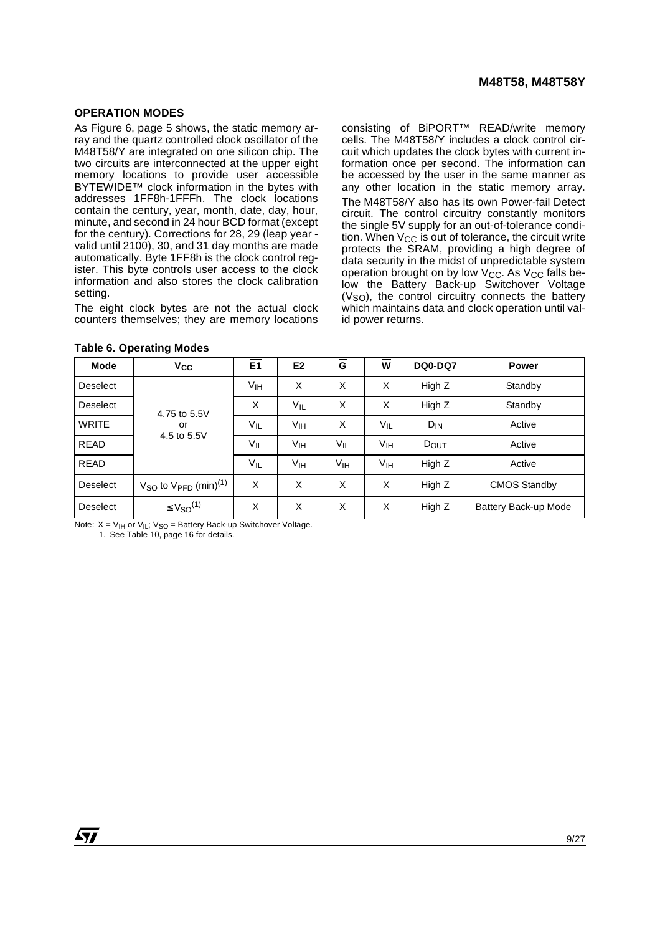#### **OPERATION MODES**

As Figure 6, page 5 shows, the static memory array and the quartz controlled clock oscillator of the M48T58/Y are integrated on one silicon chip. The two circuits are interconnected at the upper eight memory locations to provide user accessible BYTEWIDE™ clock information in the bytes with addresses 1FF8h-1FFFh. The clock locations contain the century, year, month, date, day, hour, minute, and second in 24 hour BCD format (except for the century). Corrections for 28, 29 (leap year valid until 2100), 30, and 31 day months are made automatically. Byte 1FF8h is the clock control register. This byte controls user access to the clock information and also stores the clock calibration setting.

The eight clock bytes are not the actual clock counters themselves; they are memory locations consisting of BiPORT™ READ/write memory cells. The M48T58/Y includes a clock control circuit which updates the clock bytes with current information once per second. The information can be accessed by the user in the same manner as any other location in the static memory array. The M48T58/Y also has its own Power-fail Detect circuit. The control circuitry constantly monitors the single 5V supply for an out-of-tolerance condition. When  $V_{CC}$  is out of tolerance, the circuit write protects the SRAM, providing a high degree of data security in the midst of unpredictable system operation brought on by low  $V_{CC}$ . As  $V_{CC}$  falls below the Battery Back-up Switchover Voltage  $(V<sub>SO</sub>)$ , the control circuitry connects the battery which maintains data and clock operation until valid power returns.

| <b>Mode</b>     | <b>V<sub>CC</sub></b>                | E <sub>1</sub> | E <sub>2</sub>  | G               | W               | <b>DQ0-DQ7</b> | <b>Power</b>         |
|-----------------|--------------------------------------|----------------|-----------------|-----------------|-----------------|----------------|----------------------|
| <b>Deselect</b> |                                      | Vıн            | X               | X               | X               | High Z         | Standby              |
| Deselect        | 4.75 to 5.5V                         | X              | $V_{IL}$        | X               | X               | High Z         | Standby              |
| <b>WRITE</b>    | or                                   | VIL            | V <sub>IH</sub> | X               | VIL             | $D_{IN}$       | Active               |
| <b>READ</b>     | 4.5 to 5.5V                          | $V_{IL}$       | Vıн             | VIL             | Vін             | DOUT           | Active               |
| <b>READ</b>     |                                      | $V_{IL}$       | Vıн             | V <sub>IH</sub> | V <sub>IH</sub> | High Z         | Active               |
| <b>Deselect</b> | $VSO$ to $VPFD$ (min) <sup>(1)</sup> | X              | X               | X               | X               | High Z         | <b>CMOS Standby</b>  |
| Deselect        | $\leq$ $V_{SO}$ <sup>(1)</sup>       | X              | X               | X               | X               | High Z         | Battery Back-up Mode |

|  |  |  | <b>Table 6. Operating Modes</b> |  |
|--|--|--|---------------------------------|--|
|--|--|--|---------------------------------|--|

Note:  $X = V_{\text{IH}}$  or  $V_{\text{IL}}$ ;  $V_{\text{SO}} =$  Battery Back-up Switchover Voltage.

1. See Table 10, page 16 for details.

*ky*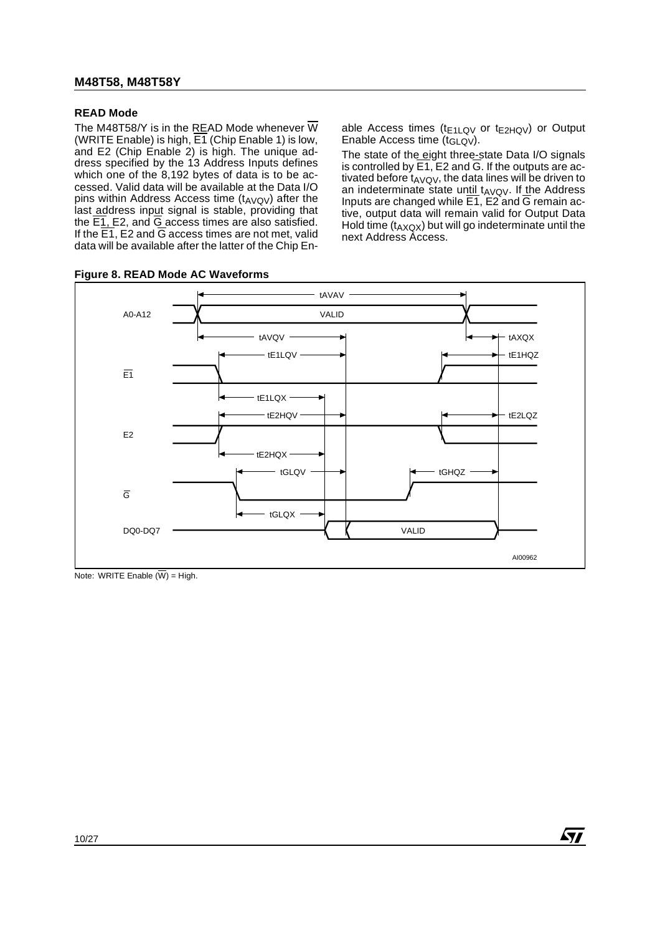#### **READ Mode**

The M48T58/Y is in the READ Mode whenever  $\overline{W}$ (WRITE Enable) is high,  $\overline{E1}$  (Chip Enable 1) is low, and E2 (Chip Enable 2) is high. The unique address specified by the 13 Address Inputs defines which one of the 8,192 bytes of data is to be accessed. Valid data will be available at the Data I/O pins within Address Access time  $(t_{AVQV})$  after the last address input signal is stable, providing that the  $\overline{E1}$ , E2, and  $\overline{G}$  access times are also satisfied. If the  $\overline{E1}$ , E2 and  $\overline{G}$  access times are not met, valid data will be available after the latter of the Chip En-

**Figure 8. READ Mode AC Waveforms**

able Access times ( $t_{E1LQV}$  or  $t_{E2HQV}$ ) or Output Enable Access time (tGLQV).

The state of the eight three-state Data I/O signals is controlled by  $\overline{E1}$ ,  $E2$  and  $\overline{G}$ . If the outputs are activated before  $t_{AVQV}$ , the data lines will be driven to an indeterminate state until  $t_{AVQV}$ . If the Address Inputs are changed while  $E1$ ,  $E2$  and  $\overline{G}$  remain active, output data will remain valid for Output Data Hold time  $(t_{AXOX})$  but will go indeterminate until the next Address Access.

57



Note: WRITE Enable  $(\overline{W})$  = High.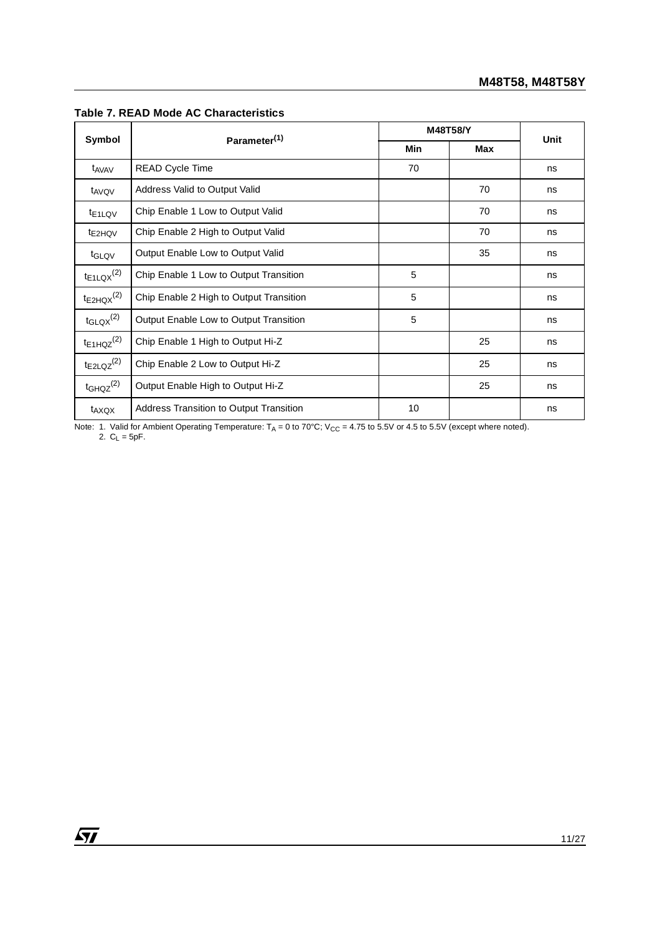|                            |                                                | M48T58/Y | Unit       |    |
|----------------------------|------------------------------------------------|----------|------------|----|
| Symbol                     | Parameter <sup>(1)</sup>                       | Min      | <b>Max</b> |    |
| t <sub>AVAV</sub>          | READ Cycle Time                                | 70       |            | ns |
| t <sub>AVQV</sub>          | Address Valid to Output Valid                  |          | 70         | ns |
| t <sub>E1LQV</sub>         | Chip Enable 1 Low to Output Valid              |          | 70         | ns |
| t <sub>E2HQV</sub>         | Chip Enable 2 High to Output Valid             |          | 70         | ns |
| t <sub>GLQV</sub>          | Output Enable Low to Output Valid              |          | 35         | ns |
| $t_{E1LQX}^{(2)}$          | Chip Enable 1 Low to Output Transition         | 5        |            | ns |
| $t_{E2HQX}$ <sup>(2)</sup> | Chip Enable 2 High to Output Transition        | 5        |            | ns |
| $t_{\text{GLQX}}^{(2)}$    | Output Enable Low to Output Transition         | 5        |            | ns |
| $t_{E1HQZ}^{(2)}$          | Chip Enable 1 High to Output Hi-Z              |          | 25         | ns |
| $t_{E2LQZ}^{(2)}$          | Chip Enable 2 Low to Output Hi-Z               |          | 25         | ns |
| $t$ GHQZ $^{(2)}$          | Output Enable High to Output Hi-Z              |          | 25         | ns |
| t <sub>AXQX</sub>          | <b>Address Transition to Output Transition</b> | 10       |            | ns |

#### **Table 7. READ Mode AC Characteristics**

Note: 1. Valid for Ambient Operating Temperature: T<sub>A</sub> = 0 to 70°C; V<sub>CC</sub> = 4.75 to 5.5V or 4.5 to 5.5V (except where noted). 2.  $C_L = 5pF$ .

 $\sqrt{27}$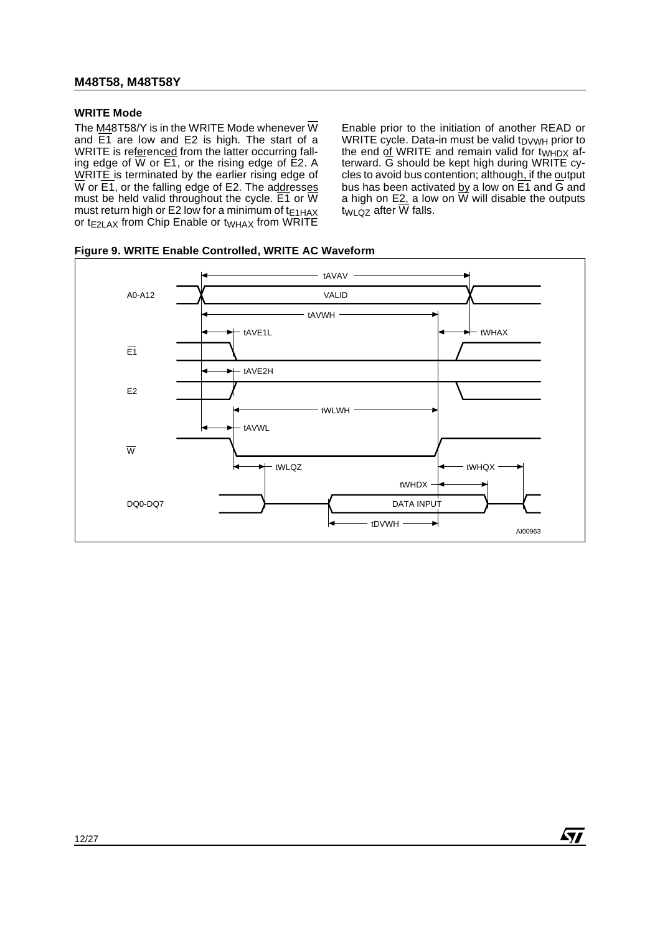#### **WRITE Mode**

The M48T58/Y is in the WRITE Mode whenever  $\overline{W}$ and  $\overline{E1}$  are low and E2 is high. The start of a WRITE is referenced from the latter occurring falling edge of  $\overline{W}$  or  $\overline{E1}$ , or the rising edge of  $\overline{E2}$ . A WRITE is terminated by the earlier rising edge of  $\overline{W}$  or  $\overline{E1}$ , or the falling edge of E2. The addresses must be held valid throughout the cycle.  $E1$  or  $\overline{W}$ must return high or E2 low for a minimum of  $t_{E1HAX}$ or  $t_{E2LAX}$  from Chip Enable or  $t_{WHAX}$  from WRITE

Enable prior to the initiation of another READ or WRITE cycle. Data-in must be valid  $t_{\text{DVMH}}$  prior to the end of WRITE and remain valid for  $t_{WHDX}$  afterward. G should be kept high during WRITE cycles to avoid bus contention; although, if the output bus has been activated by a low on  $\overline{E1}$  and  $\overline{G}$  and a high on E2, a low on  $\overline{W}$  will disable the outputs  $twLQZ$  after  $\overline{W}$  falls.

*ST* 

**Figure 9. WRITE Enable Controlled, WRITE AC Waveform**

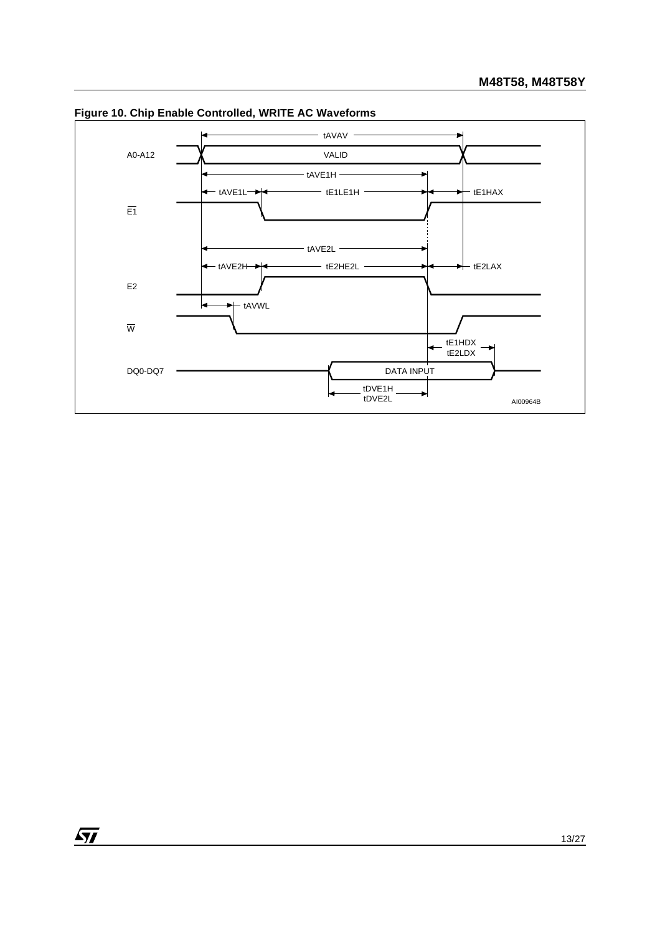

**Figure 10. Chip Enable Controlled, WRITE AC Waveforms**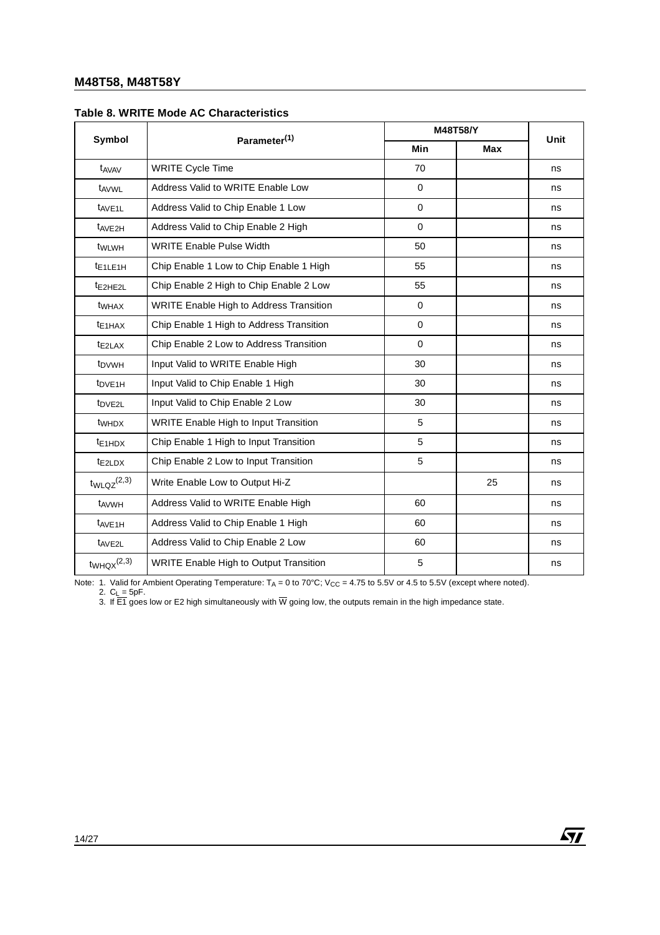|                             |                                               |             | M48T58/Y   |      |  |  |
|-----------------------------|-----------------------------------------------|-------------|------------|------|--|--|
| Symbol                      | Parameter <sup>(1)</sup>                      | Min         | <b>Max</b> | Unit |  |  |
| t <sub>AVAV</sub>           | <b>WRITE Cycle Time</b>                       | 70          |            | ns   |  |  |
| t <sub>AVWL</sub>           | Address Valid to WRITE Enable Low             | $\mathbf 0$ |            | ns   |  |  |
| t <sub>AVE1L</sub>          | Address Valid to Chip Enable 1 Low            | $\mathbf 0$ |            | ns   |  |  |
| t <sub>AVE2H</sub>          | Address Valid to Chip Enable 2 High           | $\mathbf 0$ |            | ns   |  |  |
| twLwH                       | <b>WRITE Enable Pulse Width</b>               | 50          |            | ns   |  |  |
| $t_{E1LE1H}$                | Chip Enable 1 Low to Chip Enable 1 High       | 55          |            | ns   |  |  |
| t <sub>E2HE2L</sub>         | Chip Enable 2 High to Chip Enable 2 Low       | 55          |            | ns   |  |  |
| twhax                       | WRITE Enable High to Address Transition       | $\Omega$    |            | ns   |  |  |
| t <sub>E1</sub> HAX         | Chip Enable 1 High to Address Transition      | $\mathbf 0$ |            | ns   |  |  |
| $t_{E2LAX}$                 | Chip Enable 2 Low to Address Transition       | $\Omega$    |            | ns   |  |  |
| t <sub>DVWH</sub>           | Input Valid to WRITE Enable High              | 30          |            | ns   |  |  |
| t <sub>DVE1H</sub>          | Input Valid to Chip Enable 1 High             | 30          |            | ns   |  |  |
| t <sub>DVE2L</sub>          | Input Valid to Chip Enable 2 Low              | 30          |            | ns   |  |  |
| twhDX                       | <b>WRITE Enable High to Input Transition</b>  | 5           |            | ns   |  |  |
| $t_{E1HDX}$                 | Chip Enable 1 High to Input Transition        | 5           |            | ns   |  |  |
| $t_{E2LDX}$                 | Chip Enable 2 Low to Input Transition         | 5           |            | ns   |  |  |
| $t_{WLQZ}^{(2,3)}$          | Write Enable Low to Output Hi-Z               |             | 25         | ns   |  |  |
| t <sub>AVWH</sub>           | Address Valid to WRITE Enable High            | 60          |            | ns   |  |  |
| t <sub>AVE1H</sub>          | Address Valid to Chip Enable 1 High           | 60          |            | ns   |  |  |
| t <sub>AVE2L</sub>          | Address Valid to Chip Enable 2 Low            | 60          |            | ns   |  |  |
| $t_{WHQX}$ <sup>(2,3)</sup> | <b>WRITE Enable High to Output Transition</b> | 5           |            | ns   |  |  |

#### **Table 8. WRITE Mode AC Characteristics**

Note: 1. Valid for Ambient Operating Temperature:  $T_A = 0$  to 70°C; V<sub>CC</sub> = 4.75 to 5.5V or 4.5 to 5.5V (except where noted).

2. C<sub>L</sub> = 5pF.<br>3. If E1 goes low or E2 high simultaneously with W going low, the outputs remain in the high impedance state.

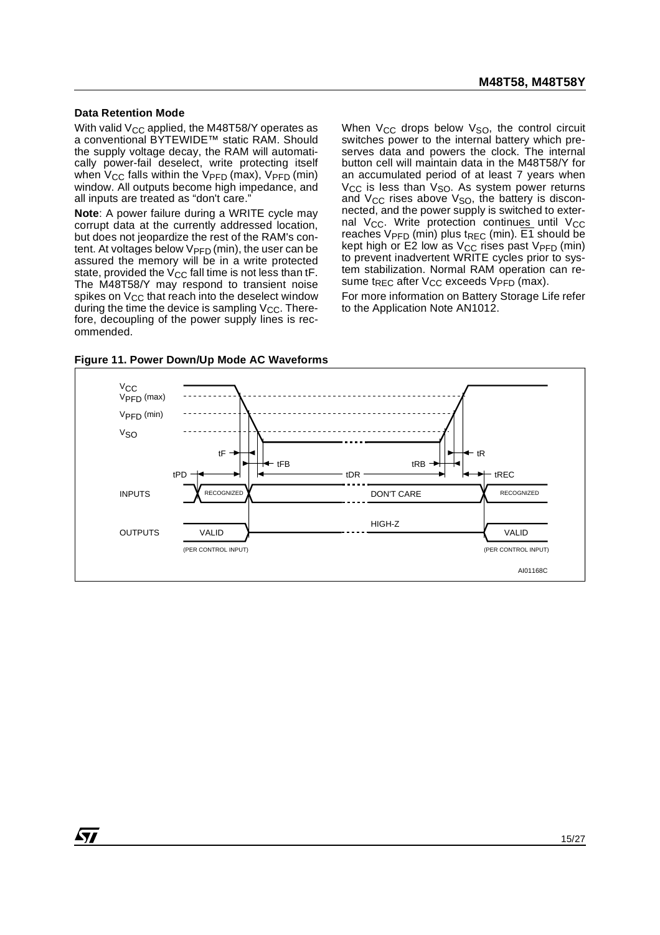#### **Data Retention Mode**

*ky* 

With valid  $V_{CC}$  applied, the M48T58/Y operates as a conventional BYTEWIDE™ static RAM. Should the supply voltage decay, the RAM will automatically power-fail deselect, write protecting itself when  $V_{CC}$  falls within the  $V_{PFD}$  (max),  $V_{PFD}$  (min) window. All outputs become high impedance, and all inputs are treated as "don't care."

**Note**: A power failure during a WRITE cycle may corrupt data at the currently addressed location, but does not jeopardize the rest of the RAM's content. At voltages below  $V_{\text{PFD}}$  (min), the user can be assured the memory will be in a write protected state, provided the  $V_{CC}$  fall time is not less than tF. The M48T58/Y may respond to transient noise spikes on  $V_{CC}$  that reach into the deselect window during the time the device is sampling  $V_{CC}$ . Therefore, decoupling of the power supply lines is recommended.

When  $V_{CC}$  drops below  $V_{SO}$ , the control circuit switches power to the internal battery which preserves data and powers the clock. The internal button cell will maintain data in the M48T58/Y for an accumulated period of at least 7 years when  $V_{\text{CC}}$  is less than  $V_{\text{SO}}$ . As system power returns and  $V_{CC}$  rises above  $V_{SO}$ , the battery is disconnected, and the power supply is switched to external V<sub>CC</sub>. Write protection continues until V<sub>CC</sub> reaches  $V_{\text{PFD}}$  (min) plus t<sub>REC</sub> (min).  $\overline{E1}$  should be kept high or E2 low as  $V_{CC}$  rises past  $V_{PFD}$  (min) to prevent inadvertent WRITE cycles prior to system stabilization. Normal RAM operation can resume t<sub>REC</sub> after  $V_{CC}$  exceeds  $V_{PFD}$  (max).

For more information on Battery Storage Life refer to the Application Note AN1012.



**Figure 11. Power Down/Up Mode AC Waveforms**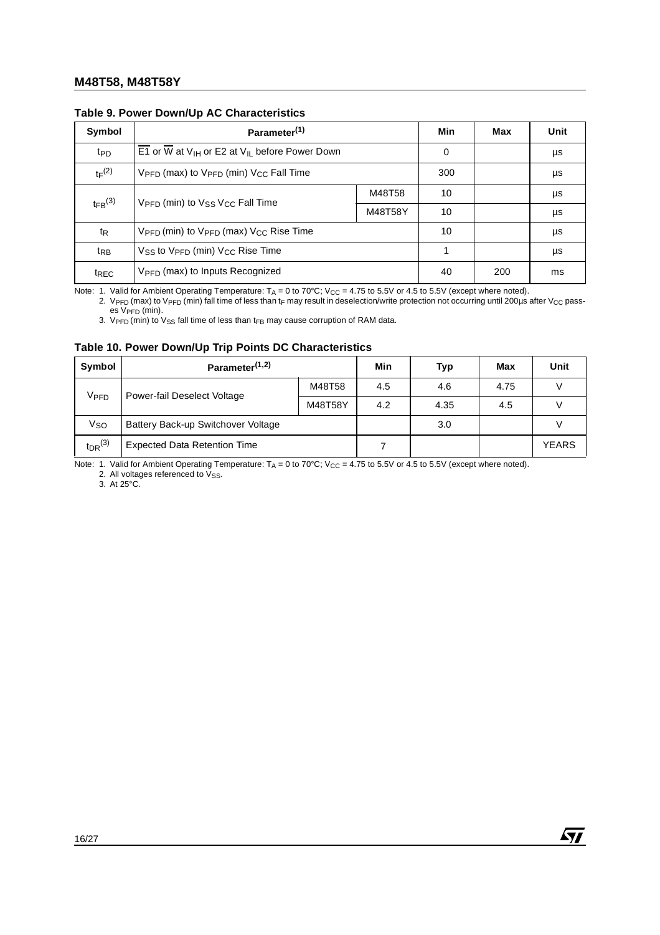| Symbol                | Parameter <sup>(1)</sup>                                                   | Min     | Max | Unit |    |
|-----------------------|----------------------------------------------------------------------------|---------|-----|------|----|
| t <sub>PD</sub>       | E1 or W at $V_{IH}$ or E2 at $V_{IL}$ before Power Down                    | 0       |     | μs   |    |
| $t_F(2)$              | $V_{\text{PFD}}$ (max) to $V_{\text{PFD}}$ (min) $V_{\text{CC}}$ Fall Time | 300     |     | μs   |    |
| $t_{\text{FB}}^{(3)}$ | V <sub>PFD</sub> (min) to V <sub>SS</sub> V <sub>CC</sub> Fall Time        | M48T58  | 10  |      | μs |
|                       |                                                                            | M48T58Y | 10  |      | μs |
| t <sub>R</sub>        | V <sub>PFD</sub> (min) to V <sub>PFD</sub> (max) V <sub>CC</sub> Rise Time | 10      |     | μs   |    |
| t <sub>RB</sub>       | $V_{SS}$ to $V_{\text{PFD}}$ (min) $V_{CC}$ Rise Time                      |         |     | μs   |    |
| t <sub>REC</sub>      | $V_{\text{PFD}}$ (max) to Inputs Recognized                                | 40      | 200 | ms   |    |

#### **Table 9. Power Down/Up AC Characteristics**

Note: 1. Valid for Ambient Operating Temperature:  $T_A$  = 0 to 70°C; V<sub>CC</sub> = 4.75 to 5.5V or 4.5 to 5.5V (except where noted). 2. VPFD (max) to VPFD (min) fall time of less than tF may result in deselection/write protection not occurring until 200µs after VCC pass-

 $es$  V<sub>PFD</sub> (min).

3.  $V_{\text{PFD}}$  (min) to  $V_{\text{SS}}$  fall time of less than t<sub>FB</sub> may cause corruption of RAM data.

#### **Table 10. Power Down/Up Trip Points DC Characteristics**

| Symbol                              | Parameter <sup>(1,2)</sup>          |         |     | Typ  | Max | Unit         |
|-------------------------------------|-------------------------------------|---------|-----|------|-----|--------------|
| Vpfd<br>Power-fail Deselect Voltage | M48T58                              | 4.5     | 4.6 | 4.75 |     |              |
|                                     |                                     | M48T58Y | 4.2 | 4.35 | 4.5 |              |
| Vso                                 | Battery Back-up Switchover Voltage  |         |     | 3.0  |     |              |
| $tpR^{(3)}$                         | <b>Expected Data Retention Time</b> |         |     |      |     | <b>YEARS</b> |

Note: 1. Valid for Ambient Operating Temperature:  $T_A = 0$  to 70°C; V<sub>CC</sub> = 4.75 to 5.5V or 4.5 to 5.5V (except where noted).

2. All voltages referenced to Vss.

3. At 25°C.

16/27

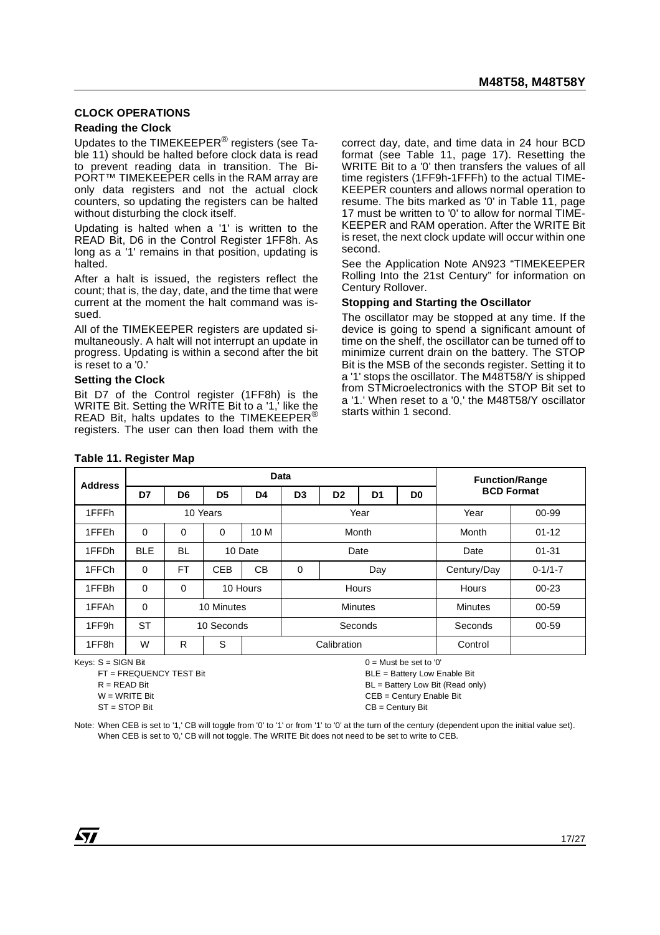#### **CLOCK OPERATIONS**

#### **Reading the Clock**

Updates to the TIMEKEEPER<sup>®</sup> registers (see Table 11) should be halted before clock data is read to prevent reading data in transition. The Bi-PORT™ TIMEKEEPER cells in the RAM array are only data registers and not the actual clock counters, so updating the registers can be halted without disturbing the clock itself.

Updating is halted when a '1' is written to the READ Bit, D6 in the Control Register 1FF8h. As long as a '1' remains in that position, updating is halted.

After a halt is issued, the registers reflect the count; that is, the day, date, and the time that were current at the moment the halt command was issued.

All of the TIMEKEEPER registers are updated simultaneously. A halt will not interrupt an update in progress. Updating is within a second after the bit is reset to a '0.'

#### **Setting the Clock**

Bit D7 of the Control register (1FF8h) is the WRITE Bit. Setting the WRITE Bit to a '1,' like the READ Bit, halts updates to the TIMEKEEPER<sup>®</sup> registers. The user can then load them with the correct day, date, and time data in 24 hour BCD format (see Table 11, page 17). Resetting the WRITE Bit to a '0' then transfers the values of all time registers (1FF9h-1FFFh) to the actual TIME-KEEPER counters and allows normal operation to resume. The bits marked as '0' in Table 11, page 17 must be written to '0' to allow for normal TIME-KEEPER and RAM operation. After the WRITE Bit is reset, the next clock update will occur within one second.

See the Application Note AN923 "TIMEKEEPER Rolling Into the 21st Century" for information on Century Rollover.

#### **Stopping and Starting the Oscillator**

The oscillator may be stopped at any time. If the device is going to spend a significant amount of time on the shelf, the oscillator can be turned off to minimize current drain on the battery. The STOP Bit is the MSB of the seconds register. Setting it to a '1' stops the oscillator. The M48T58/Y is shipped from STMicroelectronics with the STOP Bit set to a '1.' When reset to a '0,' the M48T58/Y oscillator starts within 1 second.

| <b>Address</b>    |            | <b>Data</b>    |                |                |                |                                                    |       |         |                   | <b>Function/Range</b> |      |       |
|-------------------|------------|----------------|----------------|----------------|----------------|----------------------------------------------------|-------|---------|-------------------|-----------------------|------|-------|
|                   | D7         | D <sub>6</sub> | D <sub>5</sub> | D <sub>4</sub> | D <sub>3</sub> | D <sub>2</sub><br>D <sub>0</sub><br>D <sub>1</sub> |       |         | <b>BCD Format</b> |                       |      |       |
| 1FFFh             |            | 10 Years       |                |                |                |                                                    |       | Year    |                   |                       | Year | 00-99 |
| 1FFEh             | 0          | 0              | 0              | 10 M           | Month          |                                                    |       | Month   | $01 - 12$         |                       |      |       |
| 1FFDh             | <b>BLE</b> | <b>BL</b>      |                | 10 Date        | Date           |                                                    |       | Date    | $01 - 31$         |                       |      |       |
| 1FFCh             | 0          | FT             | <b>CEB</b>     | CВ             | $\mathbf 0$    |                                                    | Day   |         | Century/Day       | $0 - 1/1 - 7$         |      |       |
| 1FFBh             | 0          | 0              |                | 10 Hours       |                |                                                    | Hours |         | <b>Hours</b>      | $00 - 23$             |      |       |
| 1FFAh             | 0          |                | 10 Minutes     |                |                | <b>Minutes</b>                                     |       |         | <b>Minutes</b>    | 00-59                 |      |       |
| 1FF9h             | <b>ST</b>  |                | 10 Seconds     |                | Seconds        |                                                    |       | Seconds | $00 - 59$         |                       |      |       |
| 1FF <sub>8h</sub> | W          | R              | S              |                |                | Calibration                                        |       |         | Control           |                       |      |       |

#### **Table 11. Register Map**

Keys: S = SIGN Bit

FT = FREQUENCY TEST Bit  $R = READ Bit$  $W = WR$ ITF Bit ST = STOP Bit

 $0 =$  Must be set to '0'

BLE = Battery Low Enable Bit

BL = Battery Low Bit (Read only)

CEB = Century Enable Bit

CB = Century Bit

Note: When CEB is set to '1,' CB will toggle from '0' to '1' or from '1' to '0' at the turn of the century (dependent upon the initial value set). When CEB is set to '0,' CB will not toggle. The WRITE Bit does not need to be set to write to CEB.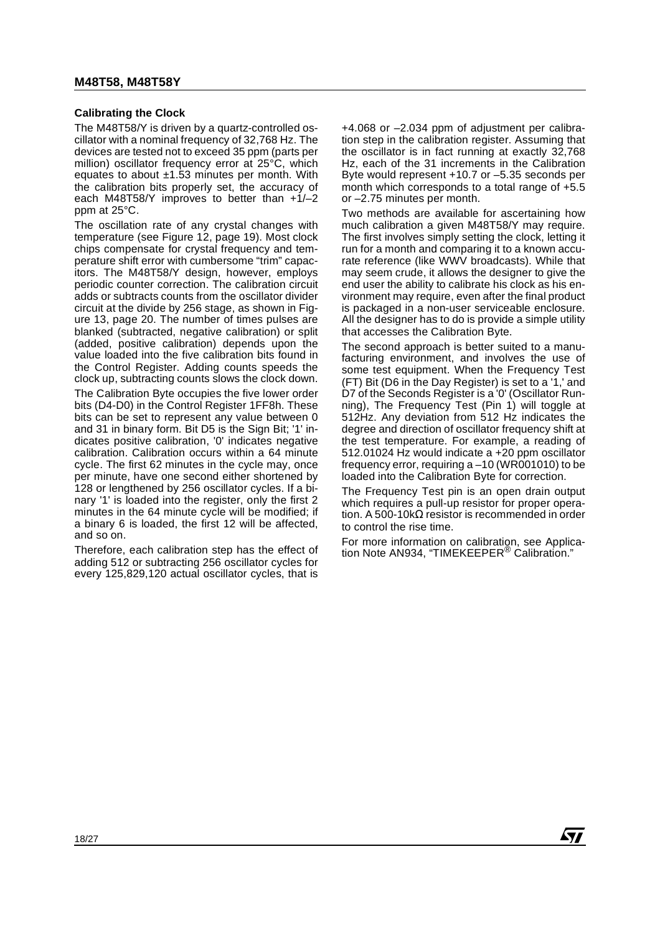### **Calibrating the Clock**

The M48T58/Y is driven by a quartz-controlled oscillator with a nominal frequency of 32,768 Hz. The devices are tested not to exceed 35 ppm (parts per million) oscillator frequency error at 25°C, which equates to about ±1.53 minutes per month. With the calibration bits properly set, the accuracy of each M48T58/Y improves to better than  $+1/-2$ ppm at 25°C.

The oscillation rate of any crystal changes with temperature (see Figure 12, page 19). Most clock chips compensate for crystal frequency and temperature shift error with cumbersome "trim" capacitors. The M48T58/Y design, however, employs periodic counter correction. The calibration circuit adds or subtracts counts from the oscillator divider circuit at the divide by 256 stage, as shown in Figure 13, page 20. The number of times pulses are blanked (subtracted, negative calibration) or split (added, positive calibration) depends upon the value loaded into the five calibration bits found in the Control Register. Adding counts speeds the clock up, subtracting counts slows the clock down.

The Calibration Byte occupies the five lower order bits (D4-D0) in the Control Register 1FF8h. These bits can be set to represent any value between 0 and 31 in binary form. Bit D5 is the Sign Bit; '1' indicates positive calibration, '0' indicates negative calibration. Calibration occurs within a 64 minute cycle. The first 62 minutes in the cycle may, once per minute, have one second either shortened by 128 or lengthened by 256 oscillator cycles. If a binary '1' is loaded into the register, only the first 2 minutes in the 64 minute cycle will be modified; if a binary 6 is loaded, the first 12 will be affected, and so on.

Therefore, each calibration step has the effect of adding 512 or subtracting 256 oscillator cycles for every 125,829,120 actual oscillator cycles, that is

+4.068 or –2.034 ppm of adjustment per calibration step in the calibration register. Assuming that the oscillator is in fact running at exactly 32,768 Hz, each of the 31 increments in the Calibration Byte would represent +10.7 or –5.35 seconds per month which corresponds to a total range of +5.5 or –2.75 minutes per month.

Two methods are available for ascertaining how much calibration a given M48T58/Y may require. The first involves simply setting the clock, letting it run for a month and comparing it to a known accurate reference (like WWV broadcasts). While that may seem crude, it allows the designer to give the end user the ability to calibrate his clock as his environment may require, even after the final product is packaged in a non-user serviceable enclosure. All the designer has to do is provide a simple utility that accesses the Calibration Byte.

The second approach is better suited to a manufacturing environment, and involves the use of some test equipment. When the Frequency Test (FT) Bit (D6 in the Day Register) is set to a '1,' and D7 of the Seconds Register is a '0' (Oscillator Running), The Frequency Test (Pin 1) will toggle at 512Hz. Any deviation from 512 Hz indicates the degree and direction of oscillator frequency shift at the test temperature. For example, a reading of 512.01024 Hz would indicate a +20 ppm oscillator frequency error, requiring a –10 (WR001010) to be loaded into the Calibration Byte for correction.

The Frequency Test pin is an open drain output which requires a pull-up resistor for proper operation. A 500-10kΩ resistor is recommended in order to control the rise time.

For more information on calibration, see Application Note AN934, "TIMEKEEPER® Calibration."

**AVI**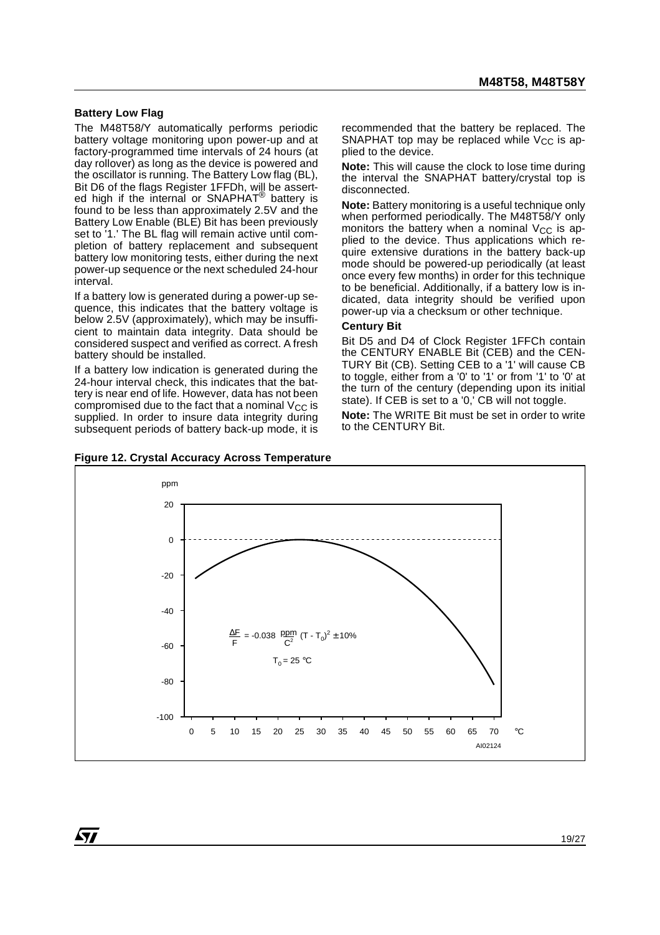#### **Battery Low Flag**

*ky* 

The M48T58/Y automatically performs periodic battery voltage monitoring upon power-up and at factory-programmed time intervals of 24 hours (at day rollover) as long as the device is powered and the oscillator is running. The Battery Low flag (BL), Bit D6 of the flags Register 1FFDh, will be asserted high if the internal or SNAPHAT<sup>®</sup> battery is found to be less than approximately 2.5V and the Battery Low Enable (BLE) Bit has been previously set to '1.' The BL flag will remain active until completion of battery replacement and subsequent battery low monitoring tests, either during the next power-up sequence or the next scheduled 24-hour interval.

If a battery low is generated during a power-up sequence, this indicates that the battery voltage is below 2.5V (approximately), which may be insufficient to maintain data integrity. Data should be considered suspect and verified as correct. A fresh battery should be installed.

If a battery low indication is generated during the 24-hour interval check, this indicates that the battery is near end of life. However, data has not been compromised due to the fact that a nominal  $V_{CC}$  is supplied. In order to insure data integrity during subsequent periods of battery back-up mode, it is



recommended that the battery be replaced. The SNAPHAT top may be replaced while  $V_{CC}$  is applied to the device.

**Note:** This will cause the clock to lose time during the interval the SNAPHAT battery/crystal top is disconnected.

**Note:** Battery monitoring is a useful technique only when performed periodically. The M48T58/Y only monitors the battery when a nominal  $V_{CC}$  is applied to the device. Thus applications which require extensive durations in the battery back-up mode should be powered-up periodically (at least once every few months) in order for this technique to be beneficial. Additionally, if a battery low is indicated, data integrity should be verified upon power-up via a checksum or other technique.

#### **Century Bit**

Bit D5 and D4 of Clock Register 1FFCh contain the CENTURY ENABLE Bit (CEB) and the CEN-TURY Bit (CB). Setting CEB to a '1' will cause CB to toggle, either from a '0' to '1' or from '1' to '0' at the turn of the century (depending upon its initial state). If CEB is set to a '0,' CB will not toggle.

**Note:** The WRITE Bit must be set in order to write to the CENTURY Bit.

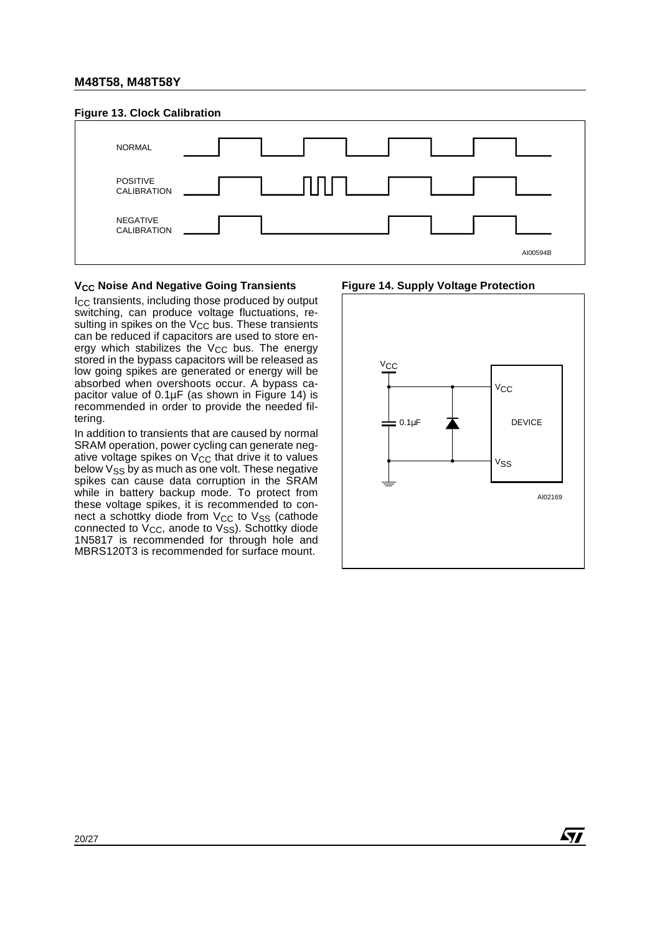#### **Figure 13. Clock Calibration**



#### **V<sub>CC</sub>** Noise And Negative Going Transients

ICC transients, including those produced by output switching, can produce voltage fluctuations, resulting in spikes on the  $V_{CC}$  bus. These transients can be reduced if capacitors are used to store energy which stabilizes the  $V_{CC}$  bus. The energy stored in the bypass capacitors will be released as low going spikes are generated or energy will be absorbed when overshoots occur. A bypass capacitor value of  $0.1\mu$ F (as shown in Figure 14) is recommended in order to provide the needed filtering.

In addition to transients that are caused by normal SRAM operation, power cycling can generate negative voltage spikes on  $V_{CC}$  that drive it to values below  $V_{SS}$  by as much as one volt. These negative spikes can cause data corruption in the SRAM while in battery backup mode. To protect from these voltage spikes, it is recommended to connect a schottky diode from  $V_{CC}$  to  $V_{SS}$  (cathode connected to  $V_{CC}$ , anode to  $V_{SS}$ ). Schottky diode 1N5817 is recommended for through hole and MBRS120T3 is recommended for surface mount.





57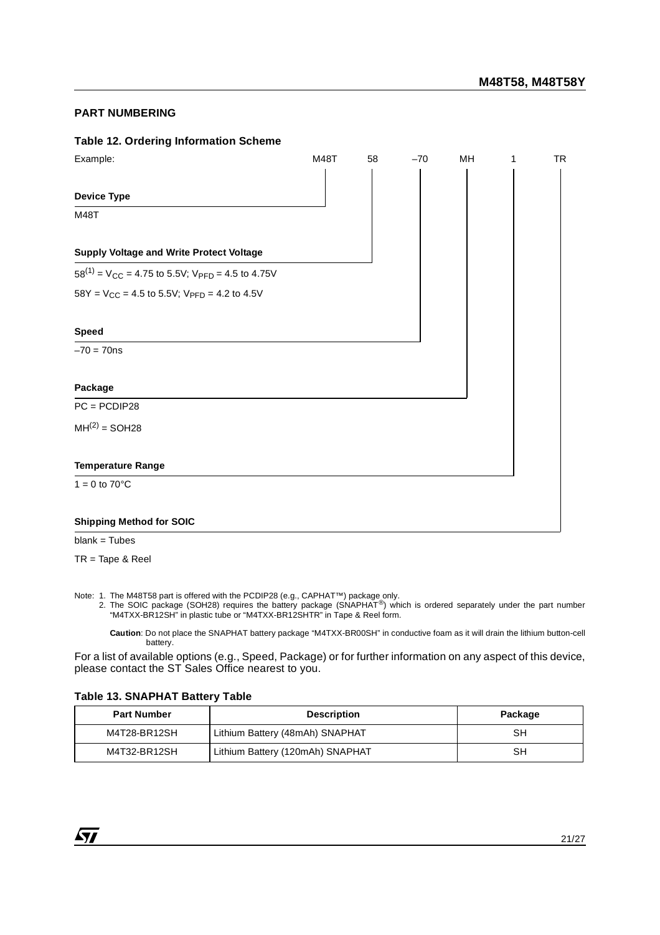#### **PART NUMBERING**

#### **Table 12. Ordering Information Scheme**

| Example:                                                                     | M48T | 58 | $-70$ | MH | 1 | <b>TR</b> |
|------------------------------------------------------------------------------|------|----|-------|----|---|-----------|
| <b>Device Type</b>                                                           |      |    |       |    |   |           |
| M48T                                                                         |      |    |       |    |   |           |
| Supply Voltage and Write Protect Voltage                                     |      |    |       |    |   |           |
| $58^{(1)}$ = V <sub>CC</sub> = 4.75 to 5.5V; V <sub>PFD</sub> = 4.5 to 4.75V |      |    |       |    |   |           |
| $58Y = V_{CC} = 4.5$ to 5.5V; $V_{PFD} = 4.2$ to 4.5V                        |      |    |       |    |   |           |
|                                                                              |      |    |       |    |   |           |
| <b>Speed</b>                                                                 |      |    |       |    |   |           |
| $-70 = 70$ ns                                                                |      |    |       |    |   |           |
| Package                                                                      |      |    |       |    |   |           |
| $PC = PCDIP28$                                                               |      |    |       |    |   |           |
| $MH(2) = SOH28$                                                              |      |    |       |    |   |           |
| <b>Temperature Range</b>                                                     |      |    |       |    |   |           |
| $1 = 0$ to $70^{\circ}$ C                                                    |      |    |       |    |   |           |
| <b>Shipping Method for SOIC</b>                                              |      |    |       |    |   |           |

 $blank = Tubes$ 

TR = Tape & Reel

Note: 1. The M48T58 part is offered with the PCDIP28 (e.g., CAPHAT™) package only.<br>2. The SOIC package (SOH28) requires the battery package (SNAPHAT®) which is ordered separately under the part number "M4TXX-BR12SH" in plastic tube or "M4TXX-BR12SHTR" in Tape & Reel form.

**Caution**: Do not place the SNAPHAT battery package "M4TXX-BR00SH" in conductive foam as it will drain the lithium button-cell battery.

For a list of available options (e.g., Speed, Package) or for further information on any aspect of this device, please contact the ST Sales Office nearest to you.

#### **Table 13. SNAPHAT Battery Table**

| <b>Part Number</b> | Package                          |    |
|--------------------|----------------------------------|----|
| M4T28-BR12SH       | Lithium Battery (48mAh) SNAPHAT  | SН |
| M4T32-BR12SH       | Lithium Battery (120mAh) SNAPHAT | SН |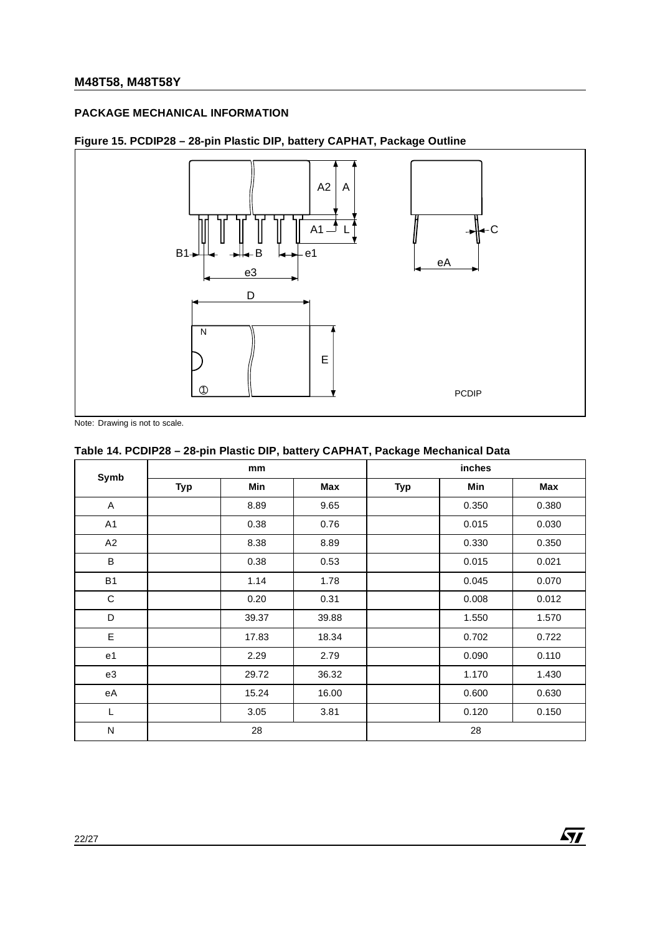### **PACKAGE MECHANICAL INFORMATION**

# **Figure 15. PCDIP28 – 28-pin Plastic DIP, battery CAPHAT, Package Outline**



Note: Drawing is not to scale.

# **Table 14. PCDIP28 – 28-pin Plastic DIP, battery CAPHAT, Package Mechanical Data**

| Symb           |            | mm    |       | inches     |       |       |  |
|----------------|------------|-------|-------|------------|-------|-------|--|
|                | <b>Typ</b> | Min   | Max   | <b>Typ</b> | Min   | Max   |  |
| A              |            | 8.89  | 9.65  |            | 0.350 | 0.380 |  |
| A <sub>1</sub> |            | 0.38  | 0.76  |            | 0.015 | 0.030 |  |
| A2             |            | 8.38  | 8.89  |            | 0.330 | 0.350 |  |
| $\sf B$        |            | 0.38  | 0.53  |            | 0.015 | 0.021 |  |
| <b>B1</b>      |            | 1.14  | 1.78  |            | 0.045 | 0.070 |  |
| $\mathbf C$    |            | 0.20  | 0.31  |            | 0.008 | 0.012 |  |
| D              |            | 39.37 | 39.88 |            | 1.550 | 1.570 |  |
| E              |            | 17.83 | 18.34 |            | 0.702 | 0.722 |  |
| e <sub>1</sub> |            | 2.29  | 2.79  |            | 0.090 | 0.110 |  |
| e3             |            | 29.72 | 36.32 |            | 1.170 | 1.430 |  |
| eA             |            | 15.24 | 16.00 |            | 0.600 | 0.630 |  |
| L              |            | 3.05  | 3.81  |            | 0.120 | 0.150 |  |
| N              |            | 28    |       |            | 28    |       |  |

 $\sqrt{1}$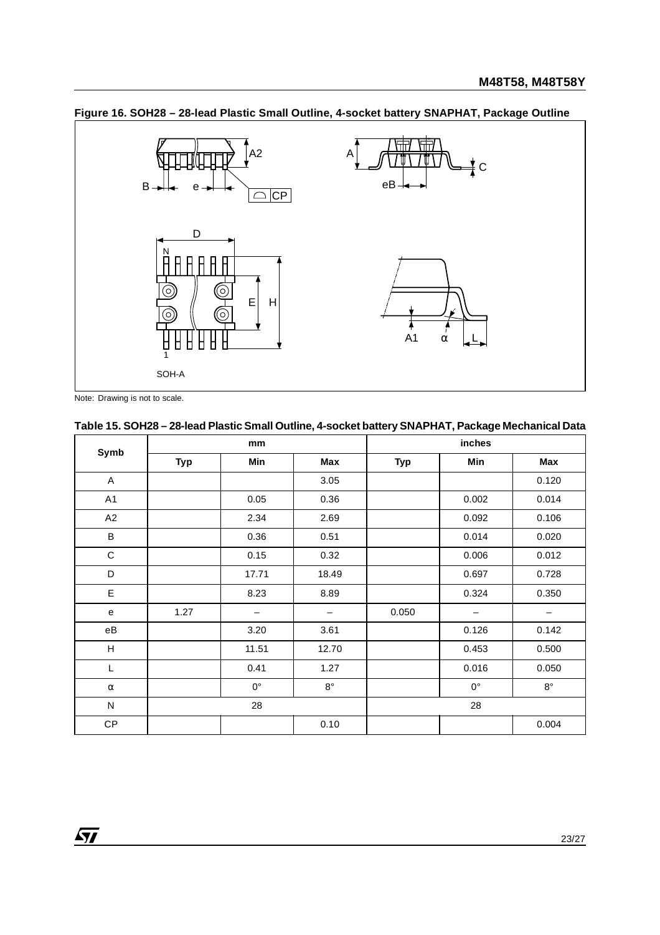

**Figure 16. SOH28 – 28-lead Plastic Small Outline, 4-socket battery SNAPHAT, Package Outline**

Note: Drawing is not to scale.

# **Table 15. SOH28 – 28-lead Plastic Small Outline, 4-socket battery SNAPHAT, Package Mechanical Data**

| Symb      |            | mm                       |                   | inches     |                   |             |  |
|-----------|------------|--------------------------|-------------------|------------|-------------------|-------------|--|
|           | <b>Typ</b> | Min                      | Max               | <b>Typ</b> | Min               | Max         |  |
| A         |            |                          | 3.05              |            |                   | 0.120       |  |
| A1        |            | 0.05                     | 0.36              |            | 0.002             | 0.014       |  |
| A2        |            | 2.34                     | 2.69              |            | 0.092             | 0.106       |  |
| B         |            | 0.36                     | 0.51              |            | 0.014             | 0.020       |  |
| C         |            | 0.15                     | 0.32              |            | 0.006             | 0.012       |  |
| D         |            | 17.71                    | 18.49             |            | 0.697             | 0.728       |  |
| E         |            | 8.23                     | 8.89              |            | 0.324             | 0.350       |  |
| ${\bf e}$ | 1.27       | $\overline{\phantom{m}}$ | $\qquad \qquad -$ | 0.050      | $\qquad \qquad -$ | -           |  |
| $\rm eB$  |            | 3.20                     | 3.61              |            | 0.126             | 0.142       |  |
| Н         |            | 11.51                    | 12.70             |            | 0.453             | 0.500       |  |
| L         |            | 0.41                     | 1.27              |            | 0.016             | 0.050       |  |
| $\alpha$  |            | $0^{\circ}$              | $8^{\circ}$       |            | $0^{\circ}$       | $8^{\circ}$ |  |
| ${\sf N}$ | 28         |                          |                   | 28         |                   |             |  |
| CP        |            |                          | 0.10              |            |                   | 0.004       |  |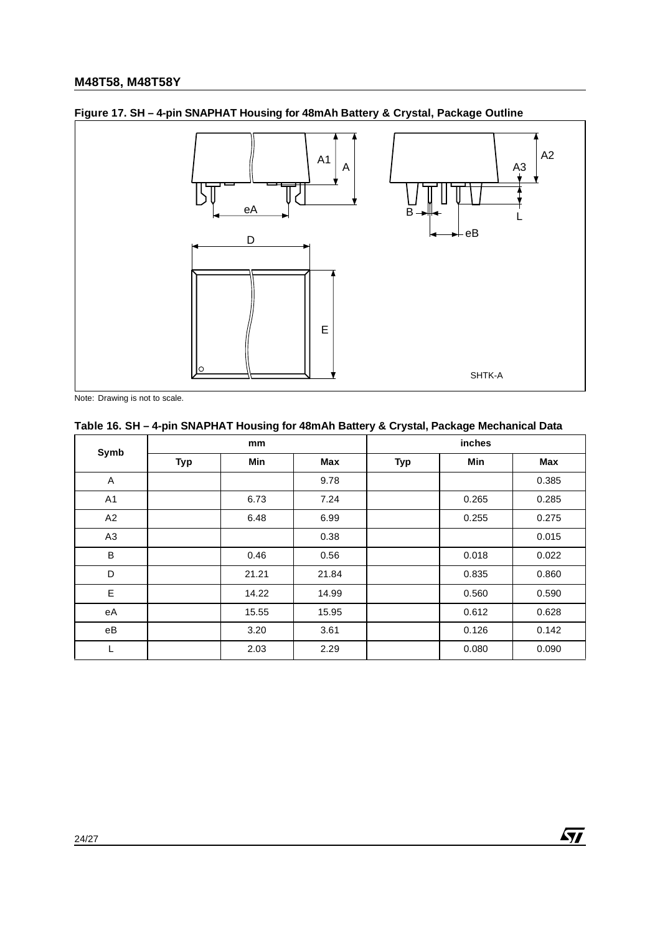

# **Figure 17. SH – 4-pin SNAPHAT Housing for 48mAh Battery & Crystal, Package Outline**

Note: Drawing is not to scale.

# **Table 16. SH – 4-pin SNAPHAT Housing for 48mAh Battery & Crystal, Package Mechanical Data**

| Symb           |            | mm    |       |            | inches |       |
|----------------|------------|-------|-------|------------|--------|-------|
|                | <b>Typ</b> | Min   | Max   | <b>Typ</b> | Min    | Max   |
| Α              |            |       | 9.78  |            |        | 0.385 |
| A <sub>1</sub> |            | 6.73  | 7.24  |            | 0.265  | 0.285 |
| A2             |            | 6.48  | 6.99  |            | 0.255  | 0.275 |
| A3             |            |       | 0.38  |            |        | 0.015 |
| B              |            | 0.46  | 0.56  |            | 0.018  | 0.022 |
| D              |            | 21.21 | 21.84 |            | 0.835  | 0.860 |
| E              |            | 14.22 | 14.99 |            | 0.560  | 0.590 |
| еA             |            | 15.55 | 15.95 |            | 0.612  | 0.628 |
| eB             |            | 3.20  | 3.61  |            | 0.126  | 0.142 |
| L              |            | 2.03  | 2.29  |            | 0.080  | 0.090 |

 $\sqrt{M}$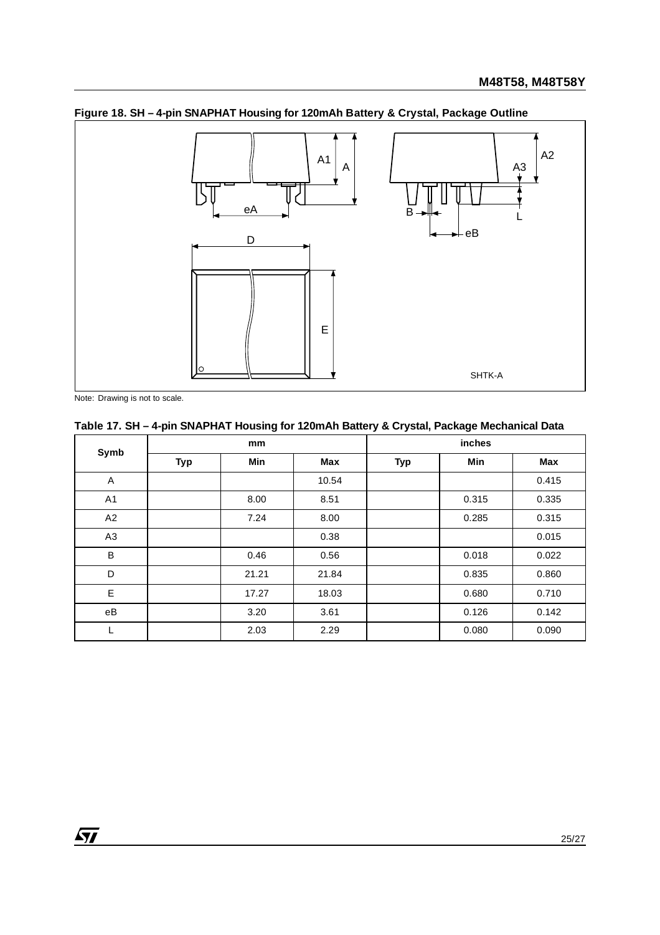

**Figure 18. SH – 4-pin SNAPHAT Housing for 120mAh Battery & Crystal, Package Outline**

Note: Drawing is not to scale.

 $\sqrt{27}$ 

# **Table 17. SH – 4-pin SNAPHAT Housing for 120mAh Battery & Crystal, Package Mechanical Data**

| Symb           |            | mm    |       |            | inches |       |
|----------------|------------|-------|-------|------------|--------|-------|
|                | <b>Typ</b> | Min   | Max   | <b>Typ</b> | Min    | Max   |
| $\mathsf A$    |            |       | 10.54 |            |        | 0.415 |
| A <sub>1</sub> |            | 8.00  | 8.51  |            | 0.315  | 0.335 |
| A2             |            | 7.24  | 8.00  |            | 0.285  | 0.315 |
| A <sub>3</sub> |            |       | 0.38  |            |        | 0.015 |
| B              |            | 0.46  | 0.56  |            | 0.018  | 0.022 |
| D              |            | 21.21 | 21.84 |            | 0.835  | 0.860 |
| E              |            | 17.27 | 18.03 |            | 0.680  | 0.710 |
| eB             |            | 3.20  | 3.61  |            | 0.126  | 0.142 |
| L              |            | 2.03  | 2.29  |            | 0.080  | 0.090 |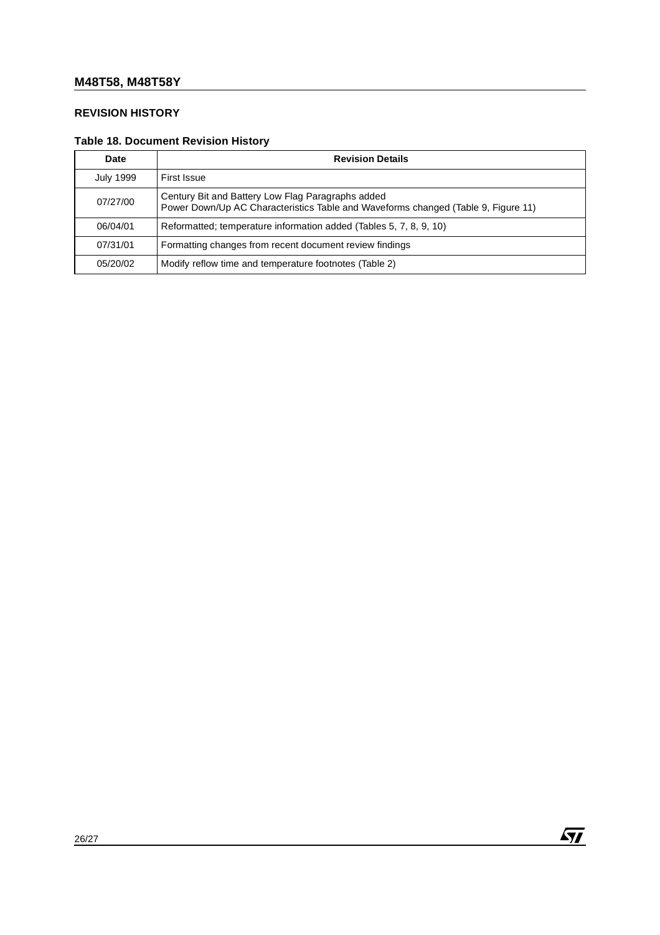# **REVISION HISTORY**

# **Table 18. Document Revision History**

| Date             | <b>Revision Details</b>                                                                                                                |
|------------------|----------------------------------------------------------------------------------------------------------------------------------------|
| <b>July 1999</b> | First Issue                                                                                                                            |
| 07/27/00         | Century Bit and Battery Low Flag Paragraphs added<br>Power Down/Up AC Characteristics Table and Waveforms changed (Table 9, Figure 11) |
| 06/04/01         | Reformatted; temperature information added (Tables 5, 7, 8, 9, 10)                                                                     |
| 07/31/01         | Formatting changes from recent document review findings                                                                                |
| 05/20/02         | Modify reflow time and temperature footnotes (Table 2)                                                                                 |

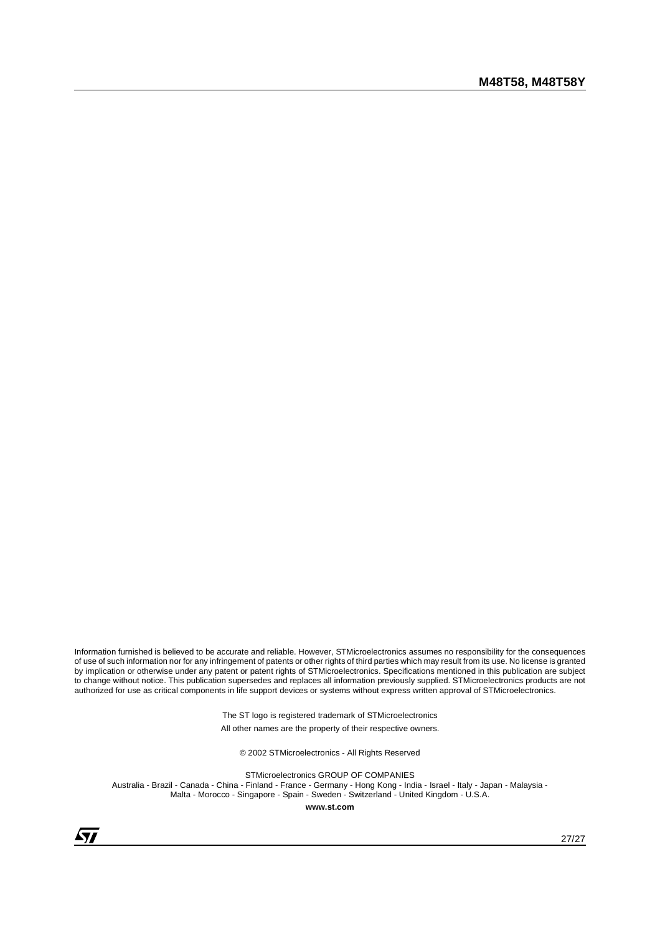Information furnished is believed to be accurate and reliable. However, STMicroelectronics assumes no responsibility for the consequences of use of such information nor for any infringement of patents or other rights of third parties which may result from its use. No license is granted by implication or otherwise under any patent or patent rights of STMicroelectronics. Specifications mentioned in this publication are subject to change without notice. This publication supersedes and replaces all information previously supplied. STMicroelectronics products are not authorized for use as critical components in life support devices or systems without express written approval of STMicroelectronics.

> The ST logo is registered trademark of STMicroelectronics All other names are the property of their respective owners.

© 2002 STMicroelectronics - All Rights Reserved

STMicroelectronics GROUP OF COMPANIES Australia - Brazil - Canada - China - Finland - France - Germany - Hong Kong - India - Israel - Italy - Japan - Malaysia - Malta - Morocco - Singapore - Spain - Sweden - Switzerland - United Kingdom - U.S.A.

**www.st.com**

 $\sqrt{27}$